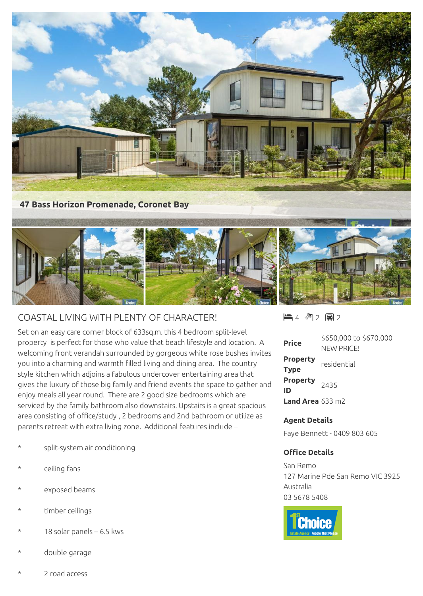

## COASTAL LIVING WITH PLENTY OF CHARACTER!

Set on an easy care corner block of 633sq.m. this 4 bedroom split-level property is perfect for those who value that beach lifestyle and location. A welcoming front verandah surrounded by gorgeous white rose bushes invites you into a charming and warmth filled living and dining area. The country style kitchen which adjoins a fabulous undercover entertaining area that gives the luxury of those big family and friend events the space to gather and enjoy meals all year round. There are 2 good size bedrooms which are serviced by the family bathroom also downstairs. Upstairs is a great spacious area consisting of office/study , 2 bedrooms and 2nd bathroom or utilize as parents retreat with extra living zone. Additional features include –

- split-system air conditioning
- ceiling fans
- exposed beams
- timber ceilings
- 18 solar panels  $6.5$  kws
- double garage

 $4 \text{ M } 2 \text{ m } 2$ 

| <b>Price</b>                   | \$650,000 to \$670,000<br>NFW PRICF! |
|--------------------------------|--------------------------------------|
| <b>Property</b><br>Type        | residential                          |
| Property <sub>2435</sub><br>ID |                                      |
| <b>Land Area</b> $633$ m2      |                                      |

## **Agent Details**

Faye Bennett - 0409 803 605

## **Office Details**

San Remo 127 Marine Pde San Remo VIC 3925 Australia 03 5678 5408



2 road access